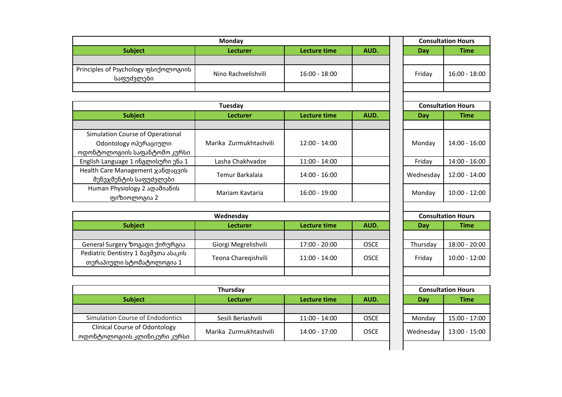| <b>Monday</b>                                      |                     |                 | <b>Consultation Hours</b> |        |               |
|----------------------------------------------------|---------------------|-----------------|---------------------------|--------|---------------|
| <b>Subject</b>                                     | <b>Lecturer</b>     | Lecture time    | AUD.                      | Day    | <b>Time</b>   |
|                                                    |                     |                 |                           |        |               |
| Principles of Psychology ფსიქოლოგიის<br>საფუძვლები | Nino Rachvelishvili | $16:00 - 18:00$ |                           | Friday | 16:00 - 18:00 |
|                                                    |                     |                 |                           |        |               |

| Tuesday                            |                        |                 | <b>Consultation Hours</b> |            |                 |
|------------------------------------|------------------------|-----------------|---------------------------|------------|-----------------|
| <b>Subject</b>                     | <b>Lecturer</b>        | Lecture time    | AUD.                      | <b>Day</b> | <b>Time</b>     |
|                                    |                        |                 |                           |            |                 |
| Simulation Course of Operational   |                        |                 |                           |            |                 |
| Odontology ოპერაციული              | Marika Zurmukhtashvili | $12:00 - 14:00$ |                           | Monday     | $14:00 - 16:00$ |
| ოდონტოლოგიის საფანტომო კურსი       |                        |                 |                           |            |                 |
| English Language 1 ინგლისური ენა 1 | Lasha Chakhvadze       | $11:00 - 14:00$ |                           | Friday     | 14:00 - 16:00   |
| Health Care Management ჯანდაცვის   |                        | $14:00 - 16:00$ |                           |            | 12:00 - 14:00   |
| მენეჯმენტის საფუძვლები             | Temur Barkalaia        |                 |                           | Wednesday  |                 |
| Human Physiology 2 ადამიანის       | Mariam Kaytaria        | $16:00 - 19:00$ |                           | Monday     | $10:00 - 12:00$ |
| ფიზიოლოგია 2                       |                        |                 |                           |            |                 |

|           | <b>Consultation Hours</b> |
|-----------|---------------------------|
| Dav       | Time                      |
|           |                           |
| Mondav    | 14:00 - 16:00             |
| Friday    | 14:00 - 16:00             |
| Wednesday | 12:00 - 14:00             |
| Mondav    | 10:00 - 12:00             |

| Wednesday                                                        |                                         |                 |             | <b>Consultation Hours</b> |               |
|------------------------------------------------------------------|-----------------------------------------|-----------------|-------------|---------------------------|---------------|
| <b>Subject</b>                                                   | AUD.<br>Lecture time<br><b>Lecturer</b> |                 | Day         | Time                      |               |
|                                                                  |                                         |                 |             |                           |               |
| General Surgery ზოგადი ქირურგია                                  | Giorgi Megrelishvili                    | 17:00 - 20:00   | <b>OSCE</b> | Thursday                  | 18:00 - 20:00 |
| Pediatric Dentistry 1 ბავშვთა ასაკის<br>თერაპიული სტომატოლოგია 1 | Teona Charegishvili                     | $11:00 - 14:00$ | <b>OSCE</b> | Fridav                    | 10:00 - 12:00 |
|                                                                  |                                         |                 |             |                           |               |

| <b>Thursday</b>                                                      |                        |               | <b>Consultation Hours</b> |           |               |
|----------------------------------------------------------------------|------------------------|---------------|---------------------------|-----------|---------------|
| <b>Subject</b>                                                       | <b>Lecturer</b>        | Lecture time  | AUD.                      | Day       | Time          |
|                                                                      |                        |               |                           |           |               |
| Simulation Course of Endodontics                                     | Sesili Beriashvili     | 11:00 - 14:00 | <b>OSCE</b>               | Mondav    | 15:00 - 17:00 |
| <b>Clinical Course of Odontology</b><br>ოდონტოლოგიის კლინიკური კურსი | Marika Zurmukhtashvili | 14:00 - 17:00 | <b>OSCE</b>               | Wednesdav | 13:00 - 15:00 |

| <b>Consultation Hours</b> |               |  |  |  |
|---------------------------|---------------|--|--|--|
| <b>Time</b><br>Day        |               |  |  |  |
|                           |               |  |  |  |
| Thursday                  | 18:00 - 20:00 |  |  |  |
| Friday                    | 10:00 - 12:00 |  |  |  |
|                           |               |  |  |  |

| <b>Consultation Hours</b> |               |  |  |  |
|---------------------------|---------------|--|--|--|
| Day                       | <b>Time</b>   |  |  |  |
|                           |               |  |  |  |
| Monday                    | 15:00 - 17:00 |  |  |  |
| Wednesday                 | 13:00 - 15:00 |  |  |  |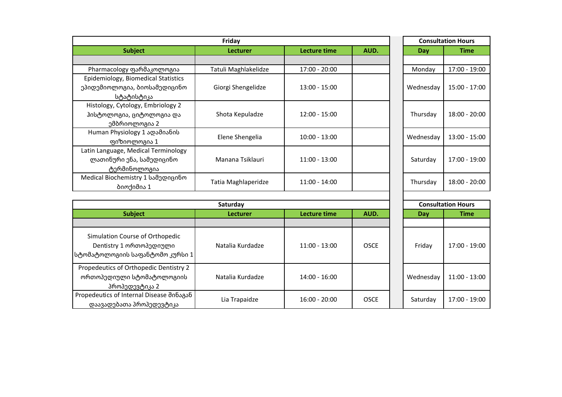| Friday                                   |                      | <b>Consultation Hours</b> |             |  |                           |                 |
|------------------------------------------|----------------------|---------------------------|-------------|--|---------------------------|-----------------|
| <b>Subject</b>                           | <b>Lecturer</b>      | <b>Lecture time</b>       | AUD.        |  | <b>Day</b>                | <b>Time</b>     |
|                                          |                      |                           |             |  |                           |                 |
| Pharmacology ფარმაკოლოგია                | Tatuli Maghlakelidze | 17:00 - 20:00             |             |  | Monday                    | 17:00 - 19:00   |
| Epidemiology, Biomedical Statistics      |                      |                           |             |  |                           |                 |
| ეპიდემიოლოგია, ბიოსამედიცინო             | Giorgi Shengelidze   | 13:00 - 15:00             |             |  | Wednesday                 | 15:00 - 17:00   |
| სტატისტიკა                               |                      |                           |             |  |                           |                 |
| Histology, Cytology, Embriology 2        |                      |                           |             |  |                           |                 |
| ჰისტოლოგია, ციტოლოგია და                 | Shota Kepuladze      | $12:00 - 15:00$           |             |  | Thursday                  | 18:00 - 20:00   |
| ემბრიოლოგია 2                            |                      |                           |             |  |                           |                 |
| Human Physiology 1 ადამიანის             | Elene Shengelia      | $10:00 - 13:00$           |             |  | Wednesday                 | 13:00 - 15:00   |
| ფიზიოლოგია 1                             |                      |                           |             |  |                           |                 |
| Latin Language, Medical Terminology      |                      |                           |             |  |                           |                 |
| ლათინური ენა, სამედიცინო                 | Manana Tsiklauri     | 11:00 - 13:00             |             |  | Saturday                  | 17:00 - 19:00   |
| ტერმინოლოგია                             |                      |                           |             |  |                           |                 |
| Medical Biochemistry 1 სამედიცინო        | Tatia Maghlaperidze  | $11:00 - 14:00$           |             |  | Thursday                  | 18:00 - 20:00   |
| ბიოქიმია 1                               |                      |                           |             |  |                           |                 |
|                                          |                      |                           |             |  |                           |                 |
|                                          | Saturday             |                           |             |  | <b>Consultation Hours</b> |                 |
| <b>Subject</b>                           | Lecturer             | <b>Lecture time</b>       | AUD.        |  | <b>Day</b>                | <b>Time</b>     |
|                                          |                      |                           |             |  |                           |                 |
| Simulation Course of Orthopedic          |                      |                           |             |  |                           |                 |
| Dentistry 1 ორთოპედიული                  | Natalia Kurdadze     | 11:00 - 13:00             | <b>OSCE</b> |  | Friday                    | 17:00 - 19:00   |
| სტომატოლოგიის საფანტომო კურსი 1          |                      |                           |             |  |                           |                 |
|                                          |                      |                           |             |  |                           |                 |
| Propedeutics of Orthopedic Dentistry 2   |                      |                           |             |  |                           |                 |
| ორთოპედიული სტომატოლოგიის                | Natalia Kurdadze     | 14:00 - 16:00             |             |  | Wednesday                 | $11:00 - 13:00$ |
| პროპედევტიკა 2                           |                      |                           |             |  |                           |                 |
| Propedeutics of Internal Disease შინაგან | Lia Trapaidze        | 16:00 - 20:00             | <b>OSCE</b> |  | Saturday                  | 17:00 - 19:00   |
| დაავადებათა პროპედევტიკა                 |                      |                           |             |  |                           |                 |